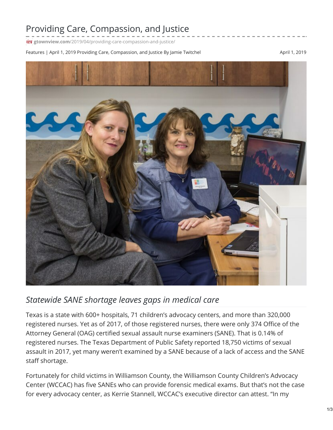## Providing Care, Compassion, and Justice

**gtownview.com**[/2019/04/providing-care-compassion-and-justice/](http://gtownview.com/2019/04/providing-care-compassion-and-justice/)

Features | April 1, 2019 Providing Care, Compassion, and Justice By Jamie Twitchel April 1, 2019 April 1, 2019



## *Statewide SANE shortage leaves gaps in medical care*

Texas is a state with 600+ hospitals, 71 children's advocacy centers, and more than 320,000 registered nurses. Yet as of 2017, of those registered nurses, there were only 374 Office of the Attorney General (OAG) certified sexual assault nurse examiners (SANE). That is 0.14% of registered nurses. The Texas Department of Public Safety reported 18,750 victims of sexual assault in 2017, yet many weren't examined by a SANE because of a lack of access and the SANE staff shortage.

Fortunately for child victims in Williamson County, the Williamson County Children's Advocacy Center (WCCAC) has five SANEs who can provide forensic medical exams. But that's not the case for every advocacy center, as Kerrie Stannell, WCCAC's executive director can attest. "In my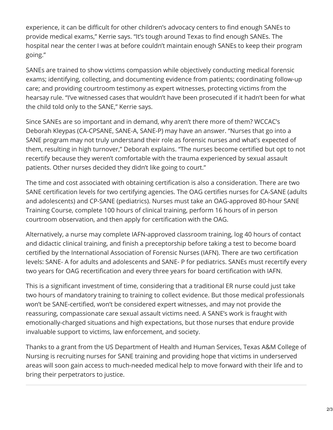experience, it can be difficult for other children's advocacy centers to find enough SANEs to provide medical exams," Kerrie says. "It's tough around Texas to find enough SANEs. The hospital near the center I was at before couldn't maintain enough SANEs to keep their program going."

SANEs are trained to show victims compassion while objectively conducting medical forensic exams; identifying, collecting, and documenting evidence from patients; coordinating follow-up care; and providing courtroom testimony as expert witnesses, protecting victims from the hearsay rule. "I've witnessed cases that wouldn't have been prosecuted if it hadn't been for what the child told only to the SANE," Kerrie says.

Since SANEs are so important and in demand, why aren't there more of them? WCCAC's Deborah Kleypas (CA-CPSANE, SANE-A, SANE-P) may have an answer. "Nurses that go into a SANE program may not truly understand their role as forensic nurses and what's expected of them, resulting in high turnover," Deborah explains. "The nurses become certified but opt to not recertify because they weren't comfortable with the trauma experienced by sexual assault patients. Other nurses decided they didn't like going to court."

The time and cost associated with obtaining certification is also a consideration. There are two SANE certification levels for two certifying agencies. The OAG certifies nurses for CA-SANE (adults and adolescents) and CP-SANE (pediatrics). Nurses must take an OAG-approved 80-hour SANE Training Course, complete 100 hours of clinical training, perform 16 hours of in person courtroom observation, and then apply for certification with the OAG.

Alternatively, a nurse may complete IAFN-approved classroom training, log 40 hours of contact and didactic clinical training, and finish a preceptorship before taking a test to become board certified by the International Association of Forensic Nurses (IAFN). There are two certification levels: SANE- A for adults and adolescents and SANE- P for pediatrics. SANEs must recertify every two years for OAG recertification and every three years for board certification with IAFN.

This is a significant investment of time, considering that a traditional ER nurse could just take two hours of mandatory training to training to collect evidence. But those medical professionals won't be SANE-certified, won't be considered expert witnesses, and may not provide the reassuring, compassionate care sexual assault victims need. A SANE's work is fraught with emotionally-charged situations and high expectations, but those nurses that endure provide invaluable support to victims, law enforcement, and society.

Thanks to a grant from the US Department of Health and Human Services, Texas A&M College of Nursing is recruiting nurses for SANE training and providing hope that victims in underserved areas will soon gain access to much-needed medical help to move forward with their life and to bring their perpetrators to justice.